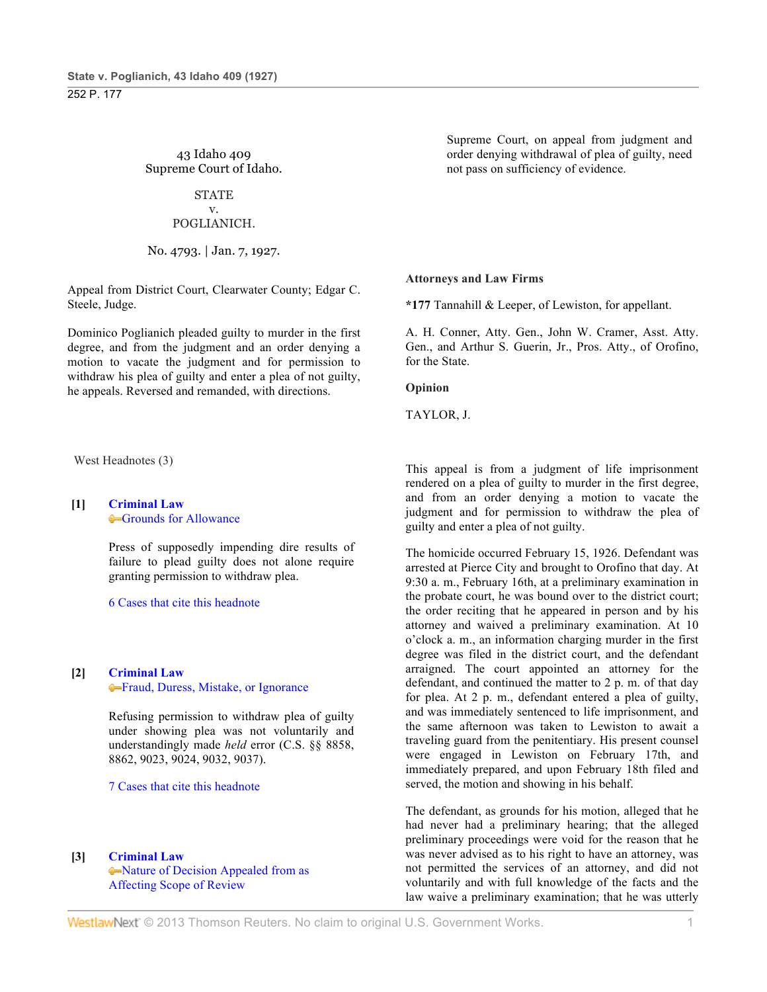43 Idaho 409 Supreme Court of Idaho.

## **STATE**

#### v. POGLIANICH.

## No. 4793. | Jan. 7, 1927.

Appeal from District Court, Clearwater County; Edgar C. Steele, Judge.

Dominico Poglianich pleaded guilty to murder in the first degree, and from the judgment and an order denying a motion to vacate the judgment and for permission to withdraw his plea of guilty and enter a plea of not guilty, he appeals. Reversed and remanded, with directions.

West Headnotes (3)

# **[1] Criminal Law** Grounds for Allowance

Press of supposedly impending dire results of failure to plead guilty does not alone require granting permission to withdraw plea.

6 Cases that cite this headnote

## **[2] Criminal Law**

Fraud, Duress, Mistake, or Ignorance

Refusing permission to withdraw plea of guilty under showing plea was not voluntarily and understandingly made *held* error (C.S. §§ 8858, 8862, 9023, 9024, 9032, 9037).

7 Cases that cite this headnote

#### **[3] Criminal Law**

Nature of Decision Appealed from as Affecting Scope of Review

Supreme Court, on appeal from judgment and order denying withdrawal of plea of guilty, need not pass on sufficiency of evidence.

#### **Attorneys and Law Firms**

**\*177** Tannahill & Leeper, of Lewiston, for appellant.

A. H. Conner, Atty. Gen., John W. Cramer, Asst. Atty. Gen., and Arthur S. Guerin, Jr., Pros. Atty., of Orofino, for the State.

#### **Opinion**

TAYLOR, J.

This appeal is from a judgment of life imprisonment rendered on a plea of guilty to murder in the first degree, and from an order denying a motion to vacate the judgment and for permission to withdraw the plea of guilty and enter a plea of not guilty.

The homicide occurred February 15, 1926. Defendant was arrested at Pierce City and brought to Orofino that day. At 9:30 a. m., February 16th, at a preliminary examination in the probate court, he was bound over to the district court; the order reciting that he appeared in person and by his attorney and waived a preliminary examination. At 10 o'clock a. m., an information charging murder in the first degree was filed in the district court, and the defendant arraigned. The court appointed an attorney for the defendant, and continued the matter to 2 p. m. of that day for plea. At 2 p. m., defendant entered a plea of guilty, and was immediately sentenced to life imprisonment, and the same afternoon was taken to Lewiston to await a traveling guard from the penitentiary. His present counsel were engaged in Lewiston on February 17th, and immediately prepared, and upon February 18th filed and served, the motion and showing in his behalf.

The defendant, as grounds for his motion, alleged that he had never had a preliminary hearing; that the alleged preliminary proceedings were void for the reason that he was never advised as to his right to have an attorney, was not permitted the services of an attorney, and did not voluntarily and with full knowledge of the facts and the law waive a preliminary examination; that he was utterly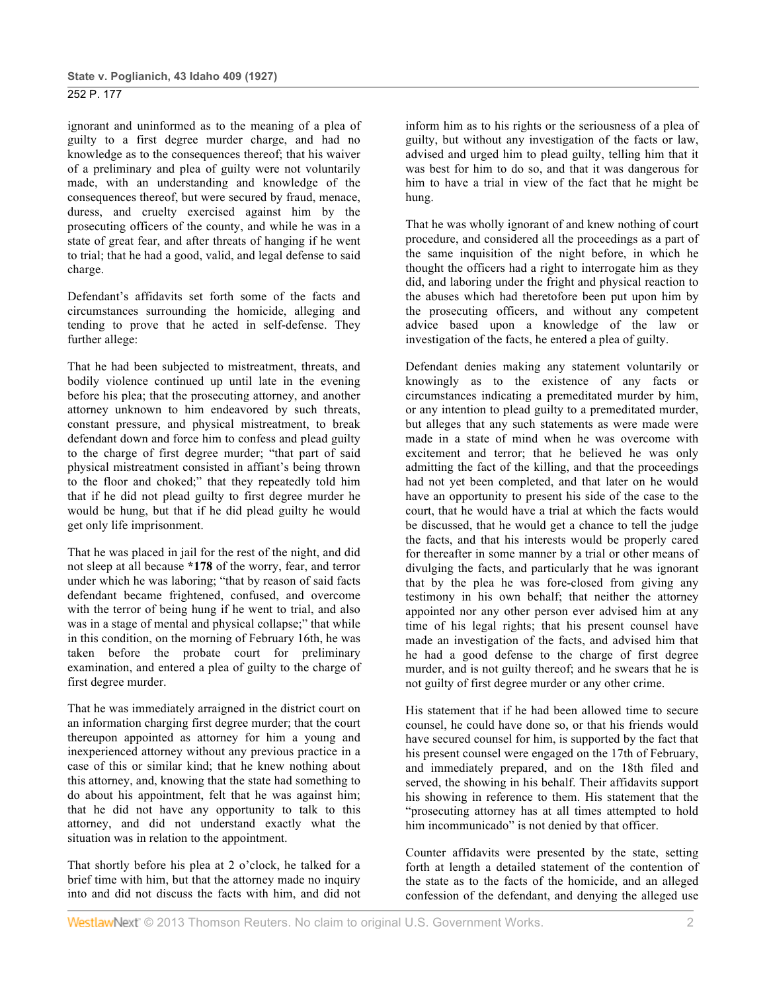ignorant and uninformed as to the meaning of a plea of guilty to a first degree murder charge, and had no knowledge as to the consequences thereof; that his waiver of a preliminary and plea of guilty were not voluntarily made, with an understanding and knowledge of the consequences thereof, but were secured by fraud, menace, duress, and cruelty exercised against him by the prosecuting officers of the county, and while he was in a state of great fear, and after threats of hanging if he went to trial; that he had a good, valid, and legal defense to said charge.

Defendant's affidavits set forth some of the facts and circumstances surrounding the homicide, alleging and tending to prove that he acted in self-defense. They further allege:

That he had been subjected to mistreatment, threats, and bodily violence continued up until late in the evening before his plea; that the prosecuting attorney, and another attorney unknown to him endeavored by such threats, constant pressure, and physical mistreatment, to break defendant down and force him to confess and plead guilty to the charge of first degree murder; "that part of said physical mistreatment consisted in affiant's being thrown to the floor and choked;" that they repeatedly told him that if he did not plead guilty to first degree murder he would be hung, but that if he did plead guilty he would get only life imprisonment.

That he was placed in jail for the rest of the night, and did not sleep at all because **\*178** of the worry, fear, and terror under which he was laboring; "that by reason of said facts defendant became frightened, confused, and overcome with the terror of being hung if he went to trial, and also was in a stage of mental and physical collapse;" that while in this condition, on the morning of February 16th, he was taken before the probate court for preliminary examination, and entered a plea of guilty to the charge of first degree murder.

That he was immediately arraigned in the district court on an information charging first degree murder; that the court thereupon appointed as attorney for him a young and inexperienced attorney without any previous practice in a case of this or similar kind; that he knew nothing about this attorney, and, knowing that the state had something to do about his appointment, felt that he was against him; that he did not have any opportunity to talk to this attorney, and did not understand exactly what the situation was in relation to the appointment.

That shortly before his plea at 2 o'clock, he talked for a brief time with him, but that the attorney made no inquiry into and did not discuss the facts with him, and did not

inform him as to his rights or the seriousness of a plea of guilty, but without any investigation of the facts or law, advised and urged him to plead guilty, telling him that it was best for him to do so, and that it was dangerous for him to have a trial in view of the fact that he might be hung.

That he was wholly ignorant of and knew nothing of court procedure, and considered all the proceedings as a part of the same inquisition of the night before, in which he thought the officers had a right to interrogate him as they did, and laboring under the fright and physical reaction to the abuses which had theretofore been put upon him by the prosecuting officers, and without any competent advice based upon a knowledge of the law or investigation of the facts, he entered a plea of guilty.

Defendant denies making any statement voluntarily or knowingly as to the existence of any facts or circumstances indicating a premeditated murder by him, or any intention to plead guilty to a premeditated murder, but alleges that any such statements as were made were made in a state of mind when he was overcome with excitement and terror; that he believed he was only admitting the fact of the killing, and that the proceedings had not yet been completed, and that later on he would have an opportunity to present his side of the case to the court, that he would have a trial at which the facts would be discussed, that he would get a chance to tell the judge the facts, and that his interests would be properly cared for thereafter in some manner by a trial or other means of divulging the facts, and particularly that he was ignorant that by the plea he was fore-closed from giving any testimony in his own behalf; that neither the attorney appointed nor any other person ever advised him at any time of his legal rights; that his present counsel have made an investigation of the facts, and advised him that he had a good defense to the charge of first degree murder, and is not guilty thereof; and he swears that he is not guilty of first degree murder or any other crime.

His statement that if he had been allowed time to secure counsel, he could have done so, or that his friends would have secured counsel for him, is supported by the fact that his present counsel were engaged on the 17th of February, and immediately prepared, and on the 18th filed and served, the showing in his behalf. Their affidavits support his showing in reference to them. His statement that the "prosecuting attorney has at all times attempted to hold him incommunicado" is not denied by that officer.

Counter affidavits were presented by the state, setting forth at length a detailed statement of the contention of the state as to the facts of the homicide, and an alleged confession of the defendant, and denying the alleged use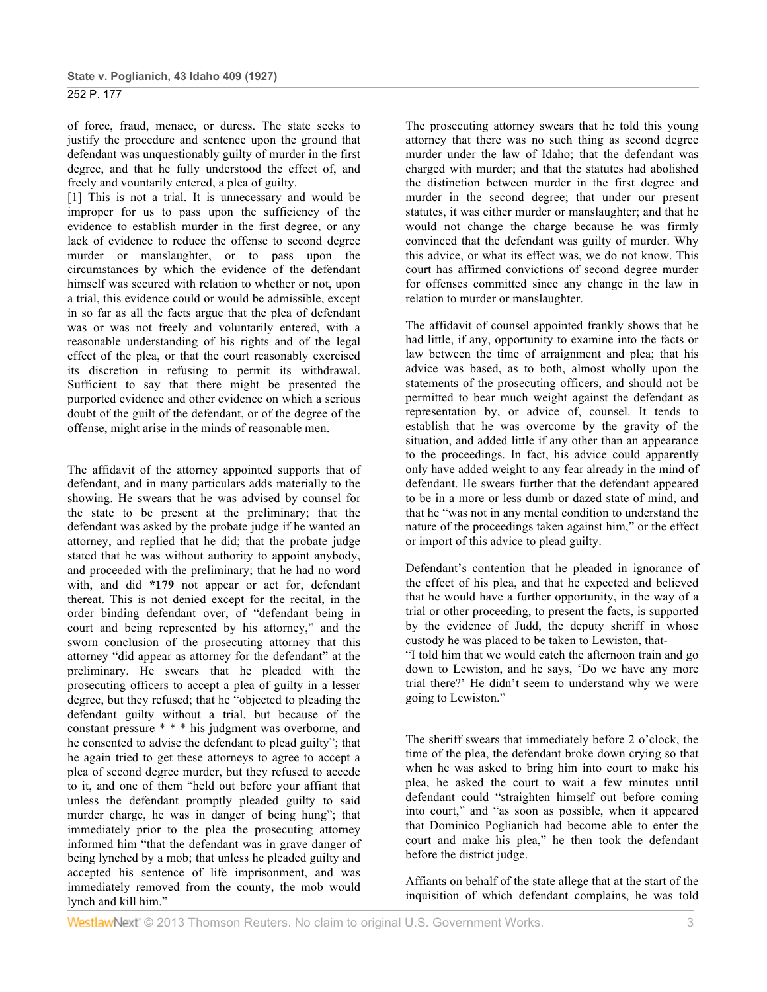of force, fraud, menace, or duress. The state seeks to justify the procedure and sentence upon the ground that defendant was unquestionably guilty of murder in the first degree, and that he fully understood the effect of, and freely and vountarily entered, a plea of guilty.

[1] This is not a trial. It is unnecessary and would be improper for us to pass upon the sufficiency of the evidence to establish murder in the first degree, or any lack of evidence to reduce the offense to second degree murder or manslaughter, or to pass upon the circumstances by which the evidence of the defendant himself was secured with relation to whether or not, upon a trial, this evidence could or would be admissible, except in so far as all the facts argue that the plea of defendant was or was not freely and voluntarily entered, with a reasonable understanding of his rights and of the legal effect of the plea, or that the court reasonably exercised its discretion in refusing to permit its withdrawal. Sufficient to say that there might be presented the purported evidence and other evidence on which a serious doubt of the guilt of the defendant, or of the degree of the offense, might arise in the minds of reasonable men.

The affidavit of the attorney appointed supports that of defendant, and in many particulars adds materially to the showing. He swears that he was advised by counsel for the state to be present at the preliminary; that the defendant was asked by the probate judge if he wanted an attorney, and replied that he did; that the probate judge stated that he was without authority to appoint anybody, and proceeded with the preliminary; that he had no word with, and did **\*179** not appear or act for, defendant thereat. This is not denied except for the recital, in the order binding defendant over, of "defendant being in court and being represented by his attorney," and the sworn conclusion of the prosecuting attorney that this attorney "did appear as attorney for the defendant" at the preliminary. He swears that he pleaded with the prosecuting officers to accept a plea of guilty in a lesser degree, but they refused; that he "objected to pleading the defendant guilty without a trial, but because of the constant pressure \* \* \* his judgment was overborne, and he consented to advise the defendant to plead guilty"; that he again tried to get these attorneys to agree to accept a plea of second degree murder, but they refused to accede to it, and one of them "held out before your affiant that unless the defendant promptly pleaded guilty to said murder charge, he was in danger of being hung"; that immediately prior to the plea the prosecuting attorney informed him "that the defendant was in grave danger of being lynched by a mob; that unless he pleaded guilty and accepted his sentence of life imprisonment, and was immediately removed from the county, the mob would lynch and kill him."

The prosecuting attorney swears that he told this young attorney that there was no such thing as second degree murder under the law of Idaho; that the defendant was charged with murder; and that the statutes had abolished the distinction between murder in the first degree and murder in the second degree; that under our present statutes, it was either murder or manslaughter; and that he would not change the charge because he was firmly convinced that the defendant was guilty of murder. Why this advice, or what its effect was, we do not know. This court has affirmed convictions of second degree murder for offenses committed since any change in the law in relation to murder or manslaughter.

The affidavit of counsel appointed frankly shows that he had little, if any, opportunity to examine into the facts or law between the time of arraignment and plea; that his advice was based, as to both, almost wholly upon the statements of the prosecuting officers, and should not be permitted to bear much weight against the defendant as representation by, or advice of, counsel. It tends to establish that he was overcome by the gravity of the situation, and added little if any other than an appearance to the proceedings. In fact, his advice could apparently only have added weight to any fear already in the mind of defendant. He swears further that the defendant appeared to be in a more or less dumb or dazed state of mind, and that he "was not in any mental condition to understand the nature of the proceedings taken against him," or the effect or import of this advice to plead guilty.

Defendant's contention that he pleaded in ignorance of the effect of his plea, and that he expected and believed that he would have a further opportunity, in the way of a trial or other proceeding, to present the facts, is supported by the evidence of Judd, the deputy sheriff in whose custody he was placed to be taken to Lewiston, that-

"I told him that we would catch the afternoon train and go down to Lewiston, and he says, 'Do we have any more trial there?' He didn't seem to understand why we were going to Lewiston."

The sheriff swears that immediately before 2 o'clock, the time of the plea, the defendant broke down crying so that when he was asked to bring him into court to make his plea, he asked the court to wait a few minutes until defendant could "straighten himself out before coming into court," and "as soon as possible, when it appeared that Dominico Poglianich had become able to enter the court and make his plea," he then took the defendant before the district judge.

Affiants on behalf of the state allege that at the start of the inquisition of which defendant complains, he was told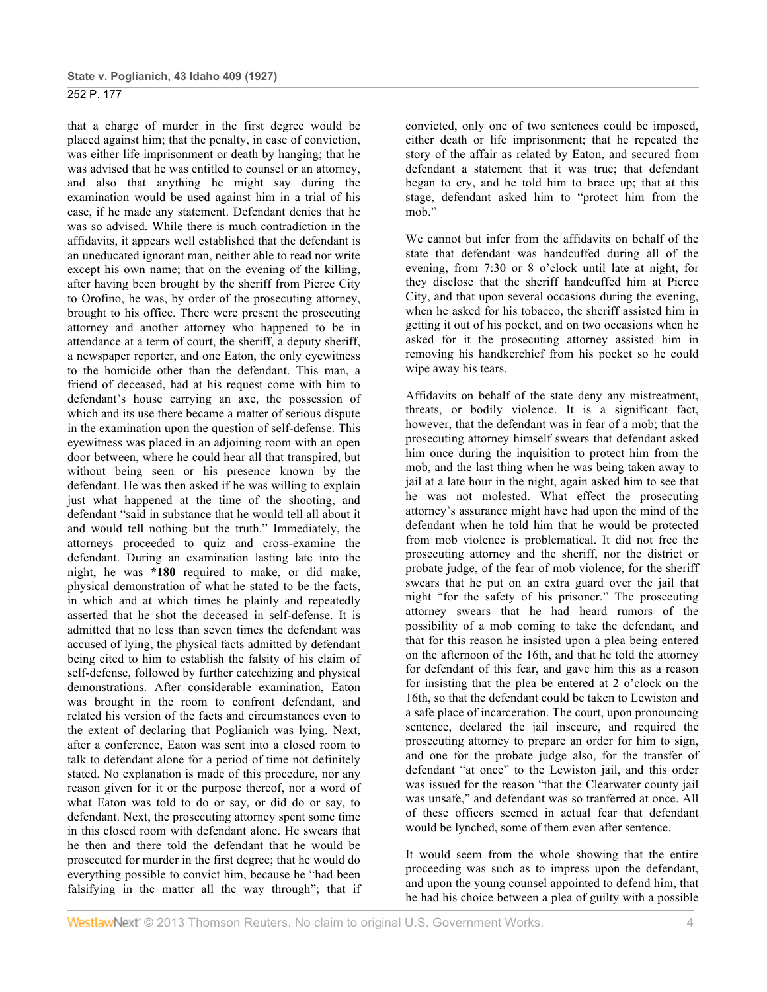that a charge of murder in the first degree would be placed against him; that the penalty, in case of conviction, was either life imprisonment or death by hanging; that he was advised that he was entitled to counsel or an attorney, and also that anything he might say during the examination would be used against him in a trial of his case, if he made any statement. Defendant denies that he was so advised. While there is much contradiction in the affidavits, it appears well established that the defendant is an uneducated ignorant man, neither able to read nor write except his own name; that on the evening of the killing, after having been brought by the sheriff from Pierce City to Orofino, he was, by order of the prosecuting attorney, brought to his office. There were present the prosecuting attorney and another attorney who happened to be in attendance at a term of court, the sheriff, a deputy sheriff, a newspaper reporter, and one Eaton, the only eyewitness to the homicide other than the defendant. This man, a friend of deceased, had at his request come with him to defendant's house carrying an axe, the possession of which and its use there became a matter of serious dispute in the examination upon the question of self-defense. This eyewitness was placed in an adjoining room with an open door between, where he could hear all that transpired, but without being seen or his presence known by the defendant. He was then asked if he was willing to explain just what happened at the time of the shooting, and defendant "said in substance that he would tell all about it and would tell nothing but the truth." Immediately, the attorneys proceeded to quiz and cross-examine the defendant. During an examination lasting late into the night, he was **\*180** required to make, or did make, physical demonstration of what he stated to be the facts, in which and at which times he plainly and repeatedly asserted that he shot the deceased in self-defense. It is admitted that no less than seven times the defendant was accused of lying, the physical facts admitted by defendant being cited to him to establish the falsity of his claim of self-defense, followed by further catechizing and physical demonstrations. After considerable examination, Eaton was brought in the room to confront defendant, and related his version of the facts and circumstances even to the extent of declaring that Poglianich was lying. Next, after a conference, Eaton was sent into a closed room to talk to defendant alone for a period of time not definitely stated. No explanation is made of this procedure, nor any reason given for it or the purpose thereof, nor a word of what Eaton was told to do or say, or did do or say, to defendant. Next, the prosecuting attorney spent some time in this closed room with defendant alone. He swears that he then and there told the defendant that he would be prosecuted for murder in the first degree; that he would do everything possible to convict him, because he "had been falsifying in the matter all the way through"; that if

convicted, only one of two sentences could be imposed, either death or life imprisonment; that he repeated the story of the affair as related by Eaton, and secured from defendant a statement that it was true; that defendant began to cry, and he told him to brace up; that at this stage, defendant asked him to "protect him from the mob.'

We cannot but infer from the affidavits on behalf of the state that defendant was handcuffed during all of the evening, from 7:30 or 8 o'clock until late at night, for they disclose that the sheriff handcuffed him at Pierce City, and that upon several occasions during the evening, when he asked for his tobacco, the sheriff assisted him in getting it out of his pocket, and on two occasions when he asked for it the prosecuting attorney assisted him in removing his handkerchief from his pocket so he could wipe away his tears.

Affidavits on behalf of the state deny any mistreatment, threats, or bodily violence. It is a significant fact, however, that the defendant was in fear of a mob; that the prosecuting attorney himself swears that defendant asked him once during the inquisition to protect him from the mob, and the last thing when he was being taken away to jail at a late hour in the night, again asked him to see that he was not molested. What effect the prosecuting attorney's assurance might have had upon the mind of the defendant when he told him that he would be protected from mob violence is problematical. It did not free the prosecuting attorney and the sheriff, nor the district or probate judge, of the fear of mob violence, for the sheriff swears that he put on an extra guard over the jail that night "for the safety of his prisoner." The prosecuting attorney swears that he had heard rumors of the possibility of a mob coming to take the defendant, and that for this reason he insisted upon a plea being entered on the afternoon of the 16th, and that he told the attorney for defendant of this fear, and gave him this as a reason for insisting that the plea be entered at 2 o'clock on the 16th, so that the defendant could be taken to Lewiston and a safe place of incarceration. The court, upon pronouncing sentence, declared the jail insecure, and required the prosecuting attorney to prepare an order for him to sign, and one for the probate judge also, for the transfer of defendant "at once" to the Lewiston jail, and this order was issued for the reason "that the Clearwater county jail was unsafe," and defendant was so tranferred at once. All of these officers seemed in actual fear that defendant would be lynched, some of them even after sentence.

It would seem from the whole showing that the entire proceeding was such as to impress upon the defendant, and upon the young counsel appointed to defend him, that he had his choice between a plea of guilty with a possible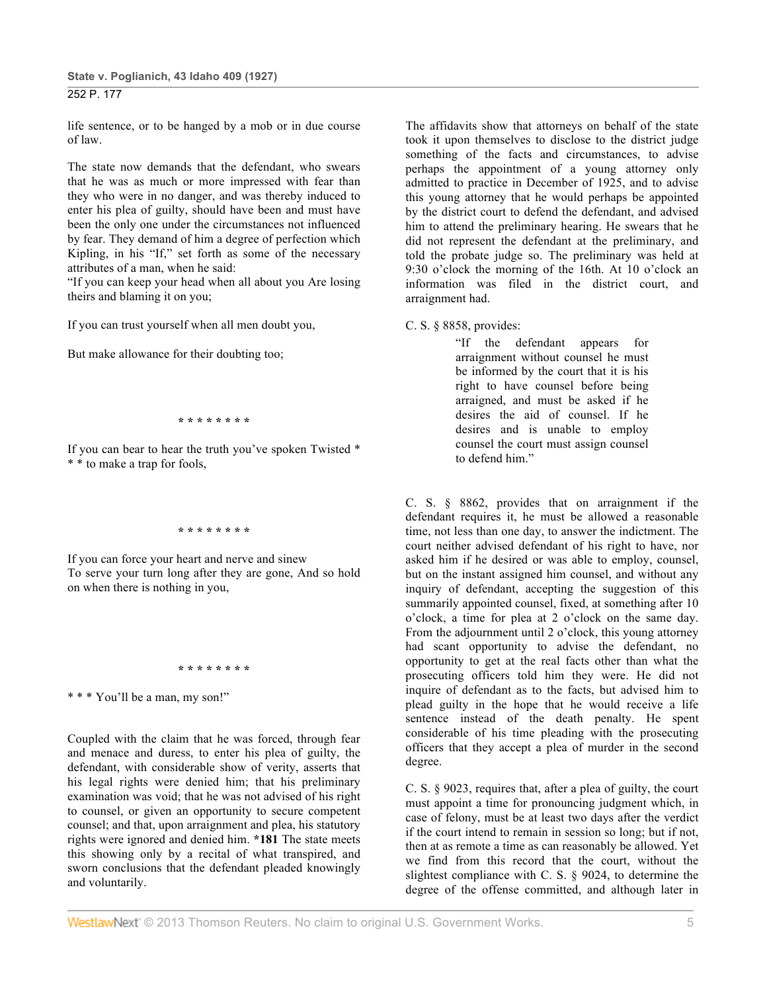life sentence, or to be hanged by a mob or in due course of law.

The state now demands that the defendant, who swears that he was as much or more impressed with fear than they who were in no danger, and was thereby induced to enter his plea of guilty, should have been and must have been the only one under the circumstances not influenced by fear. They demand of him a degree of perfection which Kipling, in his "If," set forth as some of the necessary attributes of a man, when he said:

"If you can keep your head when all about you Are losing theirs and blaming it on you;

If you can trust yourself when all men doubt you,

But make allowance for their doubting too;

**\* \* \* \* \* \* \* \***

If you can bear to hear the truth you've spoken Twisted \* \* \* to make a trap for fools,

**\* \* \* \* \* \* \* \***

If you can force your heart and nerve and sinew To serve your turn long after they are gone, And so hold on when there is nothing in you,

**\* \* \* \* \* \* \* \***

\* \* \* You'll be a man, my son!"

Coupled with the claim that he was forced, through fear and menace and duress, to enter his plea of guilty, the defendant, with considerable show of verity, asserts that his legal rights were denied him; that his preliminary examination was void; that he was not advised of his right to counsel, or given an opportunity to secure competent counsel; and that, upon arraignment and plea, his statutory rights were ignored and denied him. **\*181** The state meets this showing only by a recital of what transpired, and sworn conclusions that the defendant pleaded knowingly and voluntarily.

The affidavits show that attorneys on behalf of the state took it upon themselves to disclose to the district judge something of the facts and circumstances, to advise perhaps the appointment of a young attorney only admitted to practice in December of 1925, and to advise this young attorney that he would perhaps be appointed by the district court to defend the defendant, and advised him to attend the preliminary hearing. He swears that he did not represent the defendant at the preliminary, and told the probate judge so. The preliminary was held at 9:30 o'clock the morning of the 16th. At 10 o'clock an information was filed in the district court, and arraignment had.

C. S. § 8858, provides:

"If the defendant appears for arraignment without counsel he must be informed by the court that it is his right to have counsel before being arraigned, and must be asked if he desires the aid of counsel. If he desires and is unable to employ counsel the court must assign counsel to defend him."

C. S. § 8862, provides that on arraignment if the defendant requires it, he must be allowed a reasonable time, not less than one day, to answer the indictment. The court neither advised defendant of his right to have, nor asked him if he desired or was able to employ, counsel, but on the instant assigned him counsel, and without any inquiry of defendant, accepting the suggestion of this summarily appointed counsel, fixed, at something after 10 o'clock, a time for plea at 2 o'clock on the same day. From the adjournment until 2 o'clock, this young attorney had scant opportunity to advise the defendant, no opportunity to get at the real facts other than what the prosecuting officers told him they were. He did not inquire of defendant as to the facts, but advised him to plead guilty in the hope that he would receive a life sentence instead of the death penalty. He spent considerable of his time pleading with the prosecuting officers that they accept a plea of murder in the second degree.

C. S. § 9023, requires that, after a plea of guilty, the court must appoint a time for pronouncing judgment which, in case of felony, must be at least two days after the verdict if the court intend to remain in session so long; but if not, then at as remote a time as can reasonably be allowed. Yet we find from this record that the court, without the slightest compliance with C. S. § 9024, to determine the degree of the offense committed, and although later in